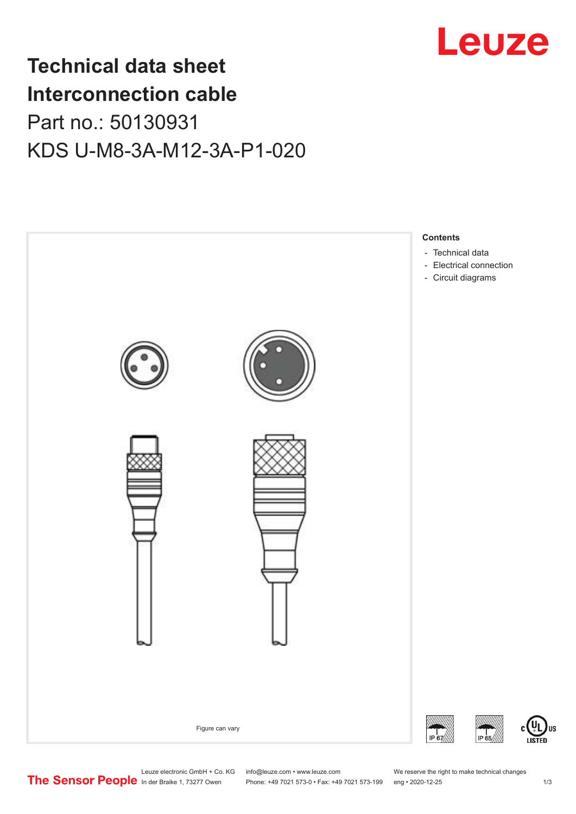

## **Technical data sheet Interconnection cable** Part no.: 50130931 KDS U-M8-3A-M12-3A-P1-020



Leuze electronic GmbH + Co. KG info@leuze.com • www.leuze.com We reserve the right to make technical changes<br>
The Sensor People in der Braike 1, 73277 Owen Phone: +49 7021 573-0 • Fax: +49 7021 573-199 eng • 2020-12-25

Phone: +49 7021 573-0 • Fax: +49 7021 573-199 eng • 2020-12-25 1 2020-12-25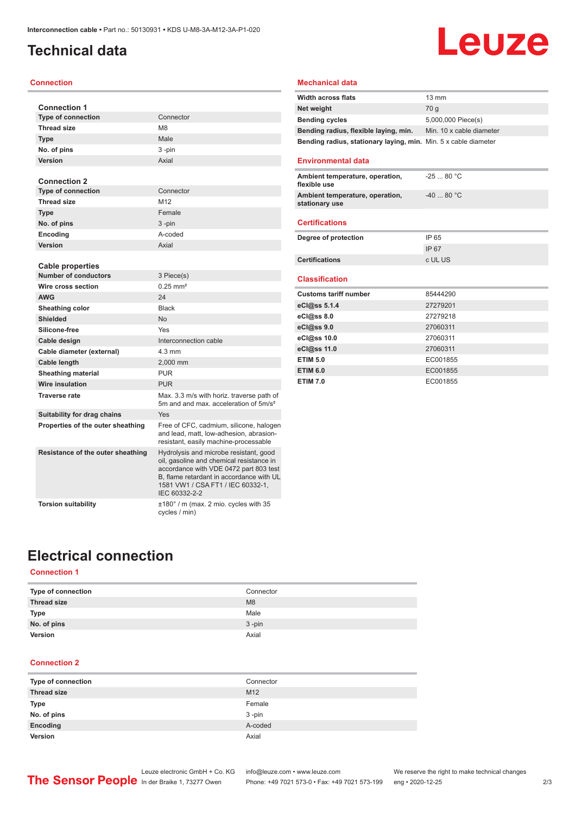### <span id="page-1-0"></span>**Technical data**

### **Connection**

| <b>Connection 1</b>               |                                                                                                                                                                                                                                |
|-----------------------------------|--------------------------------------------------------------------------------------------------------------------------------------------------------------------------------------------------------------------------------|
| <b>Type of connection</b>         | Connector                                                                                                                                                                                                                      |
| <b>Thread size</b>                | M <sub>8</sub>                                                                                                                                                                                                                 |
| <b>Type</b>                       | Male                                                                                                                                                                                                                           |
| No. of pins                       | 3-pin                                                                                                                                                                                                                          |
| Version                           | Axial                                                                                                                                                                                                                          |
|                                   |                                                                                                                                                                                                                                |
| <b>Connection 2</b>               |                                                                                                                                                                                                                                |
| <b>Type of connection</b>         | Connector                                                                                                                                                                                                                      |
| <b>Thread size</b>                | M <sub>12</sub>                                                                                                                                                                                                                |
| <b>Type</b>                       | Female                                                                                                                                                                                                                         |
| No. of pins                       | 3-pin                                                                                                                                                                                                                          |
| Encoding                          | A-coded                                                                                                                                                                                                                        |
| Version                           | Axial                                                                                                                                                                                                                          |
|                                   |                                                                                                                                                                                                                                |
| <b>Cable properties</b>           |                                                                                                                                                                                                                                |
| <b>Number of conductors</b>       | 3 Piece(s)                                                                                                                                                                                                                     |
| Wire cross section                | $0.25$ mm <sup>2</sup>                                                                                                                                                                                                         |
| <b>AWG</b>                        | 24                                                                                                                                                                                                                             |
| Sheathing color                   | <b>Black</b>                                                                                                                                                                                                                   |
| <b>Shielded</b>                   | <b>No</b>                                                                                                                                                                                                                      |
| Silicone-free                     | Yes                                                                                                                                                                                                                            |
| Cable design                      | Interconnection cable                                                                                                                                                                                                          |
| Cable diameter (external)         | $4.3 \text{ mm}$                                                                                                                                                                                                               |
| Cable length                      | 2,000 mm                                                                                                                                                                                                                       |
| <b>Sheathing material</b>         | <b>PUR</b>                                                                                                                                                                                                                     |
| <b>Wire insulation</b>            | <b>PUR</b>                                                                                                                                                                                                                     |
| <b>Traverse rate</b>              | Max. 3.3 m/s with horiz. traverse path of<br>5m and and max, acceleration of 5m/s <sup>2</sup>                                                                                                                                 |
| Suitability for drag chains       | Yes                                                                                                                                                                                                                            |
| Properties of the outer sheathing | Free of CFC, cadmium, silicone, halogen<br>and lead, matt, low-adhesion, abrasion-<br>resistant, easily machine-processable                                                                                                    |
| Resistance of the outer sheathing | Hydrolysis and microbe resistant, good<br>oil, gasoline and chemical resistance in<br>accordance with VDE 0472 part 803 test<br>B, flame retardant in accordance with UL<br>1581 VW1 / CSA FT1 / IEC 60332-1,<br>IEC 60332-2-2 |
| <b>Torsion suitability</b>        | ±180° / m (max. 2 mio. cycles with 35<br>cycles / min)                                                                                                                                                                         |

#### **Mechanical data**

| <b>Width across flats</b>                                       | $13 \text{ mm}$          |
|-----------------------------------------------------------------|--------------------------|
| Net weight                                                      | 70 a                     |
| <b>Bending cycles</b>                                           | 5,000,000 Piece(s)       |
| Bending radius, flexible laying, min.                           | Min. 10 x cable diameter |
| Bending radius, stationary laying, min. Min. 5 x cable diameter |                          |

**Leuze** 

#### **Environmental data**

| Ambient temperature, operation,<br>flexible use   | $-2580 °C$ |
|---------------------------------------------------|------------|
| Ambient temperature, operation,<br>stationary use | $-4080 °C$ |
|                                                   |            |

### **Certifications**

| Degree of protection  | IP 65   |
|-----------------------|---------|
|                       | IP 67   |
| <b>Certifications</b> | c UL US |

#### **Classification**

| <b>Customs tariff number</b> | 85444290 |
|------------------------------|----------|
| eCl@ss 5.1.4                 | 27279201 |
| eCl@ss 8.0                   | 27279218 |
| eCl@ss 9.0                   | 27060311 |
| eCl@ss 10.0                  | 27060311 |
| eCl@ss 11.0                  | 27060311 |
| <b>ETIM 5.0</b>              | EC001855 |
| <b>ETIM 6.0</b>              | EC001855 |
| <b>ETIM 7.0</b>              | EC001855 |

### **Electrical connection**

### **Connection 1**

| Type of connection | Connector |
|--------------------|-----------|
| <b>Thread size</b> | M8        |
| <b>Type</b>        | Male      |
| No. of pins        | $3 - pin$ |
| Version            | Axial     |

### **Connection 2**

| Type of connection | Connector       |
|--------------------|-----------------|
| <b>Thread size</b> | M <sub>12</sub> |
| <b>Type</b>        | Female          |
| No. of pins        | $3 - pin$       |
| Encoding           | A-coded         |
| Version            | Axial           |